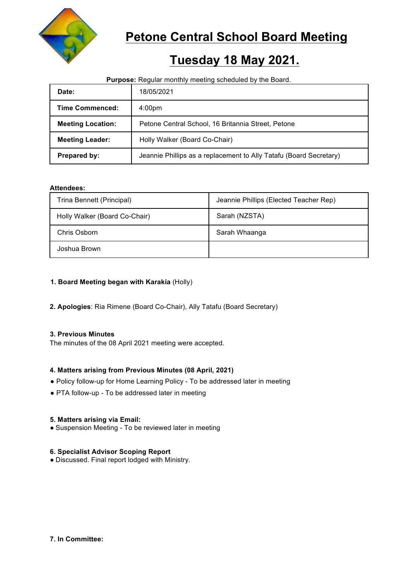

# **Petone Central School Board Meeting**

# **Tuesday 18 May 2021.**

## **Purpose:** Regular monthly meeting scheduled by the Board.

| Date:                    | 18/05/2021                                                         |
|--------------------------|--------------------------------------------------------------------|
| <b>Time Commenced:</b>   | 4:00 <sub>pm</sub>                                                 |
| <b>Meeting Location:</b> | Petone Central School, 16 Britannia Street, Petone                 |
| <b>Meeting Leader:</b>   | Holly Walker (Board Co-Chair)                                      |
| <b>Prepared by:</b>      | Jeannie Phillips as a replacement to Ally Tatafu (Board Secretary) |

## **Attendees:**

| Trina Bennett (Principal)     | Jeannie Phillips (Elected Teacher Rep) |
|-------------------------------|----------------------------------------|
| Holly Walker (Board Co-Chair) | Sarah (NZSTA)                          |
| Chris Osborn                  | Sarah Whaanga                          |
| Joshua Brown                  |                                        |

# **1. Board Meeting began with Karakia** (Holly)

**2. Apologies**: Ria Rimene (Board Co-Chair), Ally Tatafu (Board Secretary)

### **3. Previous Minutes**

The minutes of the 08 April 2021 meeting were accepted.

# **4. Matters arising from Previous Minutes (08 April, 2021)**

- Policy follow-up for Home Learning Policy To be addressed later in meeting
- PTA follow-up To be addressed later in meeting

### **5. Matters arising via Email:**

• Suspension Meeting - To be reviewed later in meeting

# **6. Specialist Advisor Scoping Report**

● Discussed. Final report lodged with Ministry.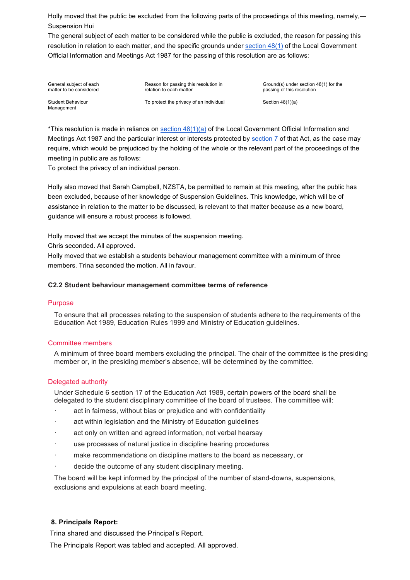Holly moved that the public be excluded from the following parts of the proceedings of this meeting, namely,— Suspension Hui

The general subject of each matter to be considered while the public is excluded, the reason for passing this resolution in relation to each matter, and the specific grounds under section 48(1) of the Local Government Official Information and Meetings Act 1987 for the passing of this resolution are as follows:

General subject of each matter to be considered

Reason for passing this resolution in relation to each matter

Ground(s) under section 48(1) for the passing of this resolution

Student Behaviour Management

To protect the privacy of an individual  $\qquad \qquad$  Section 48(1)(a)

\*This resolution is made in reliance on section  $48(1)(a)$  of the Local Government Official Information and Meetings Act 1987 and the particular interest or interests protected by section 7 of that Act, as the case may require, which would be prejudiced by the holding of the whole or the relevant part of the proceedings of the meeting in public are as follows:

To protect the privacy of an individual person.

Holly also moved that Sarah Campbell, NZSTA, be permitted to remain at this meeting, after the public has been excluded, because of her knowledge of Suspension Guidelines. This knowledge, which will be of assistance in relation to the matter to be discussed, is relevant to that matter because as a new board, guidance will ensure a robust process is followed.

Holly moved that we accept the minutes of the suspension meeting.

Chris seconded. All approved.

Holly moved that we establish a students behaviour management committee with a minimum of three members. Trina seconded the motion. All in favour.

### **C2.2 Student behaviour management committee terms of reference**

#### Purpose

To ensure that all processes relating to the suspension of students adhere to the requirements of the Education Act 1989, Education Rules 1999 and Ministry of Education guidelines.

### Committee members

A minimum of three board members excluding the principal. The chair of the committee is the presiding member or, in the presiding member's absence, will be determined by the committee.

### Delegated authority

Under Schedule 6 section 17 of the Education Act 1989, certain powers of the board shall be delegated to the student disciplinary committee of the board of trustees. The committee will:

- act in fairness, without bias or prejudice and with confidentiality
- act within legislation and the Ministry of Education guidelines
- act only on written and agreed information, not verbal hearsay
- · use processes of natural justice in discipline hearing procedures
- make recommendations on discipline matters to the board as necessary, or
- decide the outcome of any student disciplinary meeting.

The board will be kept informed by the principal of the number of stand-downs, suspensions, exclusions and expulsions at each board meeting.

### **8. Principals Report:**

Trina shared and discussed the Principal's Report.

The Principals Report was tabled and accepted. All approved.